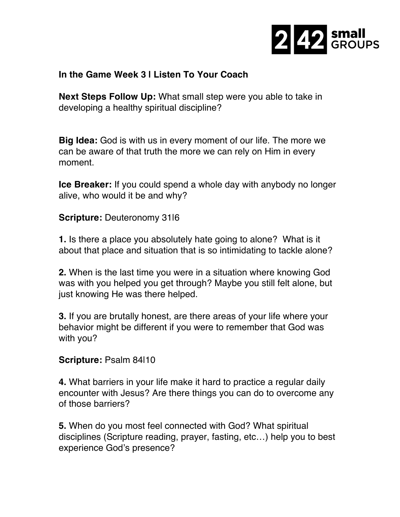

## **In the Game Week 3 | Listen To Your Coach**

**Next Steps Follow Up:** What small step were you able to take in developing a healthy spiritual discipline?

**Big Idea:** God is with us in every moment of our life. The more we can be aware of that truth the more we can rely on Him in every moment.

**Ice Breaker:** If you could spend a whole day with anybody no longer alive, who would it be and why?

**Scripture:** Deuteronomy 31|6

**1.** Is there a place you absolutely hate going to alone? What is it about that place and situation that is so intimidating to tackle alone?

**2.** When is the last time you were in a situation where knowing God was with you helped you get through? Maybe you still felt alone, but just knowing He was there helped.

**3.** If you are brutally honest, are there areas of your life where your behavior might be different if you were to remember that God was with you?

## **Scripture:** Psalm 84|10

**4.** What barriers in your life make it hard to practice a regular daily encounter with Jesus? Are there things you can do to overcome any of those barriers?

**5.** When do you most feel connected with God? What spiritual disciplines (Scripture reading, prayer, fasting, etc…) help you to best experience God's presence?